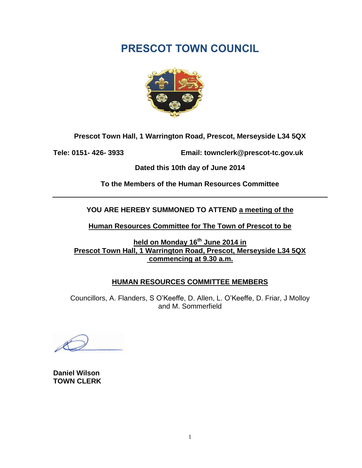

**Prescot Town Hall, 1 Warrington Road, Prescot, Merseyside L34 5QX**

**Tele: 0151- 426- 3933 Email: townclerk@prescot-tc.gov.uk**

**Dated this 10th day of June 2014**

**To the Members of the Human Resources Committee**

**YOU ARE HEREBY SUMMONED TO ATTEND a meeting of the**

**Human Resources Committee for The Town of Prescot to be**

**held on Monday 16 th June 2014 in Prescot Town Hall, 1 Warrington Road, Prescot, Merseyside L34 5QX commencing at 9.30 a.m.**

### **HUMAN RESOURCES COMMITTEE MEMBERS**

Councillors, A. Flanders, S O'Keeffe, D. Allen, L. O'Keeffe, D. Friar, J Molloy and M. Sommerfield

**Daniel Wilson TOWN CLERK**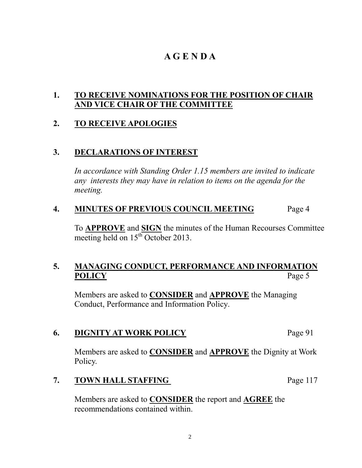### **A G E N D A**

### **1. TO RECEIVE NOMINATIONS FOR THE POSITION OF CHAIR AND VICE CHAIR OF THE COMMITTEE**

### **2. TO RECEIVE APOLOGIES**

### **3. DECLARATIONS OF INTEREST**

*In accordance with Standing Order 1.15 members are invited to indicate any interests they may have in relation to items on the agenda for the meeting.*

### **4. MINUTES OF PREVIOUS COUNCIL MEETING** Page 4

To **APPROVE** and **SIGN** the minutes of the Human Recourses Committee meeting held on  $15^{th}$  October 2013.

### **5. MANAGING CONDUCT, PERFORMANCE AND INFORMATION**  POLICY Page 5

Members are asked to **CONSIDER** and **APPROVE** the Managing Conduct, Performance and Information Policy.

### **6. DIGNITY AT WORK POLICY** Page 91

Members are asked to **CONSIDER** and **APPROVE** the Dignity at Work Policy.

### **7. TOWN HALL STAFFING** Page 117

Members are asked to **CONSIDER** the report and **AGREE** the recommendations contained within.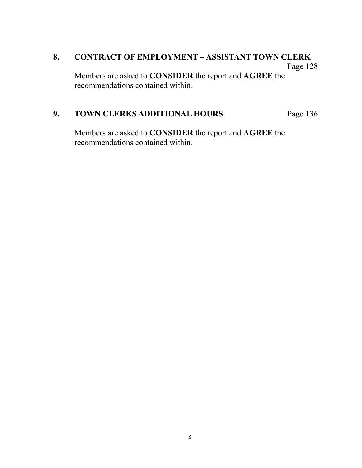### **8. CONTRACT OF EMPLOYMENT – ASSISTANT TOWN CLERK** Page 128

Members are asked to **CONSIDER** the report and **AGREE** the recommendations contained within.

### 9. **TOWN CLERKS ADDITIONAL HOURS** Page 136

Members are asked to **CONSIDER** the report and **AGREE** the recommendations contained within.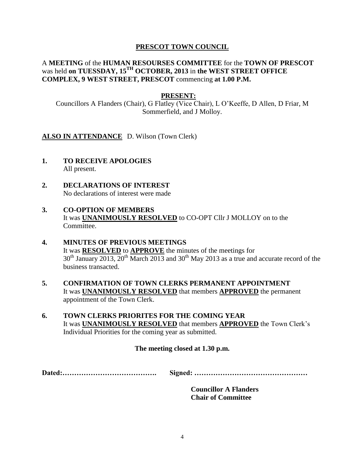#### A **MEETING** of the **HUMAN RESOURSES COMMITTEE** for the **TOWN OF PRESCOT** was held **on TUESSDAY, 15TH OCTOBER, 2013** in **the WEST STREET OFFICE COMPLEX, 9 WEST STREET, PRESCOT** commencing **at 1.00 P.M.**

#### **PRESENT:**

Councillors A Flanders (Chair), G Flatley (Vice Chair), L O'Keeffe, D Allen, D Friar, M Sommerfield, and J Molloy.

ALSO IN ATTENDANCE D. Wilson (Town Clerk)

- **1. TO RECEIVE APOLOGIES** All present.
- **2. DECLARATIONS OF INTEREST** No declarations of interest were made

#### **3. CO-OPTION OF MEMBERS** It was **UNANIMOUSLY RESOLVED** to CO-OPT Cllr J MOLLOY on to the Committee.

- **4. MINUTES OF PREVIOUS MEETINGS** It was **RESOLVED** to **APPROVE** the minutes of the meetings for  $30<sup>th</sup>$  January 2013,  $20<sup>th</sup>$  March 2013 and 30<sup>th</sup> May 2013 as a true and accurate record of the business transacted.
- **5. CONFIRMATION OF TOWN CLERKS PERMANENT APPOINTMENT** It was **UNANIMOUSLY RESOLVED** that members **APPROVED** the permanent appointment of the Town Clerk.
- **6. TOWN CLERKS PRIORITES FOR THE COMING YEAR**  It was **UNANIMOUSLY RESOLVED** that members **APPROVED** the Town Clerk's Individual Priorities for the coming year as submitted.

#### **The meeting closed at 1.30 p.m.**

**Dated:…………………………………. Signed: …………………………………………**

**Councillor A Flanders Chair of Committee**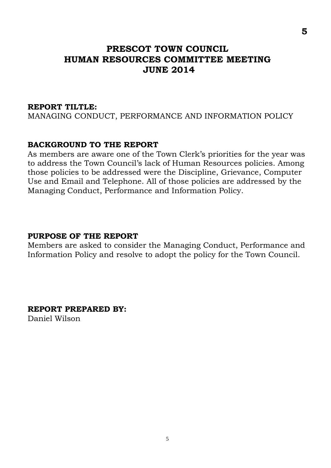### **PRESCOT TOWN COUNCIL HUMAN RESOURCES COMMITTEE MEETING JUNE 2014**

#### **REPORT TILTLE:**

MANAGING CONDUCT, PERFORMANCE AND INFORMATION POLICY

#### **BACKGROUND TO THE REPORT**

As members are aware one of the Town Clerk's priorities for the year was to address the Town Council's lack of Human Resources policies. Among those policies to be addressed were the Discipline, Grievance, Computer Use and Email and Telephone. All of those policies are addressed by the Managing Conduct, Performance and Information Policy.

### **PURPOSE OF THE REPORT**

Members are asked to consider the Managing Conduct, Performance and Information Policy and resolve to adopt the policy for the Town Council.

**REPORT PREPARED BY:**

Daniel Wilson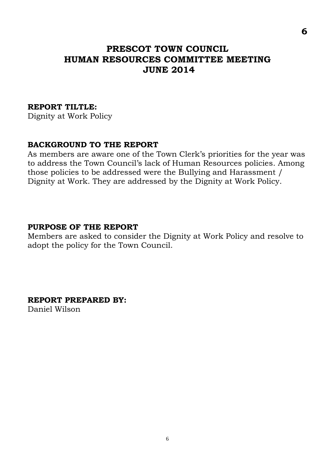### **PRESCOT TOWN COUNCIL HUMAN RESOURCES COMMITTEE MEETING JUNE 2014**

#### **REPORT TILTLE:**

Dignity at Work Policy

### **BACKGROUND TO THE REPORT**

As members are aware one of the Town Clerk's priorities for the year was to address the Town Council's lack of Human Resources policies. Among those policies to be addressed were the Bullying and Harassment / Dignity at Work. They are addressed by the Dignity at Work Policy.

#### **PURPOSE OF THE REPORT**

Members are asked to consider the Dignity at Work Policy and resolve to adopt the policy for the Town Council.

**REPORT PREPARED BY:**

Daniel Wilson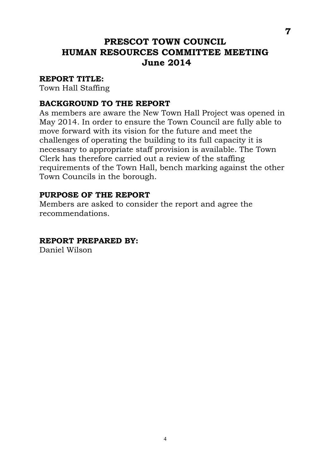### **PRESCOT TOWN COUNCIL HUMAN RESOURCES COMMITTEE MEETING June 2014**

### **REPORT TITLE:**

Town Hall Staffing

### **BACKGROUND TO THE REPORT**

As members are aware the New Town Hall Project was opened in May 2014. In order to ensure the Town Council are fully able to move forward with its vision for the future and meet the challenges of operating the building to its full capacity it is necessary to appropriate staff provision is available. The Town Clerk has therefore carried out a review of the staffing requirements of the Town Hall, bench marking against the other Town Councils in the borough.

### **PURPOSE OF THE REPORT**

Members are asked to consider the report and agree the recommendations.

### **REPORT PREPARED BY:**

Daniel Wilson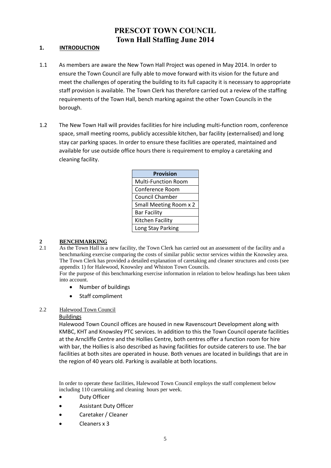### **PRESCOT TOWN COUNCIL Town Hall Staffing June 2014**

#### **1. INTRODUCTION**

- 1.1 As members are aware the New Town Hall Project was opened in May 2014. In order to ensure the Town Council are fully able to move forward with its vision for the future and meet the challenges of operating the building to its full capacity it is necessary to appropriate staff provision is available. The Town Clerk has therefore carried out a review of the staffing requirements of the Town Hall, bench marking against the other Town Councils in the borough.
- 1.2 The New Town Hall will provides facilities for hire including multi-function room, conference space, small meeting rooms, publicly accessible kitchen, bar facility (externalised) and long stay car parking spaces. In order to ensure these facilities are operated, maintained and available for use outside office hours there is requirement to employ a caretaking and cleaning facility.

| <b>Provision</b>           |
|----------------------------|
| <b>Multi-Function Room</b> |
| Conference Room            |
| <b>Council Chamber</b>     |
| Small Meeting Room x 2     |
| <b>Bar Facility</b>        |
| Kitchen Facility           |
| Long Stay Parking          |

# $\frac{2}{21}$  **BENCHMARKING**

2.1 As the Town Hall is a new facility, the Town Clerk has carried out an assessment of the facility and a benchmarking exercise comparing the costs of similar public sector services within the Knowsley area. The Town Clerk has provided a detailed explanation of caretaking and cleaner structures and costs (see appendix 1) for Halewood, Knowsley and Whiston Town Councils.

For the purpose of this benchmarking exercise information in relation to below headings has been taken into account.

- Number of buildings
- Staff compliment

#### 2.2 Halewood Town Council

#### Buildings

Halewood Town Council offices are housed in new Ravenscourt Development along with KMBC, KHT and Knowsley PTC services. In addition to this the Town Council operate facilities at the Arncliffe Centre and the Hollies Centre, both centres offer a function room for hire with bar, the Hollies is also described as having facilities for outside caterers to use. The bar facilities at both sites are operated in house. Both venues are located in buildings that are in the region of 40 years old. Parking is available at both locations.

In order to operate these facilities, Halewood Town Council employs the staff complement below including 110 caretaking and cleaning hours per week.

- Duty Officer
- Assistant Duty Officer
- Caretaker / Cleaner
- Cleaners x 3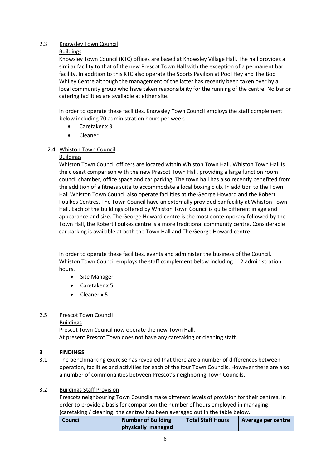#### 2.3 Knowsley Town Council

#### Buildings

Knowsley Town Council (KTC) offices are based at Knowsley Village Hall. The hall provides a similar facility to that of the new Prescot Town Hall with the exception of a permanent bar facility. In addition to this KTC also operate the Sports Pavilion at Pool Hey and The Bob Whiley Centre although the management of the latter has recently been taken over by a local community group who have taken responsibility for the running of the centre. No bar or catering facilities are available at either site.

In order to operate these facilities, Knowsley Town Council employs the staff complement below including 70 administration hours per week.

- Caretaker x 3
- Cleaner

#### 2.4 Whiston Town Council

#### Buildings

Whiston Town Council officers are located within Whiston Town Hall. Whiston Town Hall is the closest comparison with the new Prescot Town Hall, providing a large function room council chamber, office space and car parking. The town hall has also recently benefited from the addition of a fitness suite to accommodate a local boxing club. In addition to the Town Hall Whiston Town Council also operate facilities at the George Howard and the Robert Foulkes Centres. The Town Council have an externally provided bar facility at Whiston Town Hall. Each of the buildings offered by Whiston Town Council is quite different in age and appearance and size. The George Howard centre is the most contemporary followed by the Town Hall, the Robert Foulkes centre is a more traditional community centre. Considerable car parking is available at both the Town Hall and The George Howard centre.

In order to operate these facilities, events and administer the business of the Council, Whiston Town Council employs the staff complement below including 112 administration hours.

- Site Manager
- Caretaker x 5
- Cleaner x 5

#### 2.5 Prescot Town Council

#### Buildings

Prescot Town Council now operate the new Town Hall. At present Prescot Town does not have any caretaking or cleaning staff.

#### **3 FINDINGS**

3.1 The benchmarking exercise has revealed that there are a number of differences between operation, facilities and activities for each of the four Town Councils. However there are also a number of commonalities between Prescot's neighboring Town Councils.

#### 3.2 Buildings Staff Provision

Prescots neighbouring Town Councils make different levels of provision for their centres. In order to provide a basis for comparison the number of hours employed in managing (caretaking / cleaning) the centres has been averaged out in the table below.

| <b>Council</b> | <b>Number of Building</b> | <b>Total Staff Hours</b> | Average per centre |
|----------------|---------------------------|--------------------------|--------------------|
|                | physically managed        |                          |                    |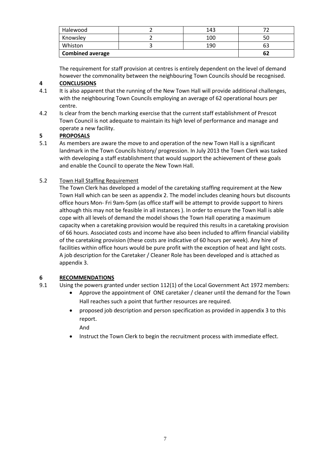| Halewood                | 143 |  |
|-------------------------|-----|--|
| Knowsley                | 100 |  |
| Whiston                 | 190 |  |
| <b>Combined average</b> | 62  |  |

The requirement for staff provision at centres is entirely dependent on the level of demand however the commonality between the neighbouring Town Councils should be recognised.

#### **4 CONCLUSIONS**

- 4.1 It is also apparent that the running of the New Town Hall will provide additional challenges, with the neighbouring Town Councils employing an average of 62 operational hours per centre.
- 4.2 Is clear from the bench marking exercise that the current staff establishment of Prescot Town Council is not adequate to maintain its high level of performance and manage and operate a new facility.

#### **5 PROPOSALS**

5.1 As members are aware the move to and operation of the new Town Hall is a significant landmark in the Town Councils history/ progression. In July 2013 the Town Clerk was tasked with developing a staff establishment that would support the achievement of these goals and enable the Council to operate the New Town Hall.

#### 5.2 Town Hall Staffing Requirement

The Town Clerk has developed a model of the caretaking staffing requirement at the New Town Hall which can be seen as appendix 2. The model includes cleaning hours but discounts office hours Mon- Fri 9am-5pm (as office staff will be attempt to provide support to hirers although this may not be feasible in all instances ). In order to ensure the Town Hall is able cope with all levels of demand the model shows the Town Hall operating a maximum capacity when a caretaking provision would be required this results in a caretaking provision of 66 hours. Associated costs and income have also been included to affirm financial viability of the caretaking provision (these costs are indicative of 60 hours per week). Any hire of facilities within office hours would be pure profit with the exception of heat and light costs. A job description for the Caretaker / Cleaner Role has been developed and is attached as appendix 3.

#### **6 RECOMMENDATIONS**

- 9.1 Using the powers granted under section 112(1) of the Local Government Act 1972 members:
	- Approve the appointment of ONE caretaker / cleaner until the demand for the Town Hall reaches such a point that further resources are required.
	- proposed job description and person specification as provided in appendix 3 to this report.

And

Instruct the Town Clerk to begin the recruitment process with immediate effect.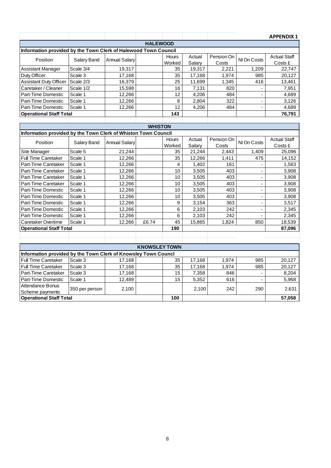|                                                                 |                |                      |                      |                 |        |            |                          | <b>APPENDIX 1</b>   |  |  |  |
|-----------------------------------------------------------------|----------------|----------------------|----------------------|-----------------|--------|------------|--------------------------|---------------------|--|--|--|
| <b>HALEWOOD</b>                                                 |                |                      |                      |                 |        |            |                          |                     |  |  |  |
| Information provided by the Town Clerk of Halewood Town Council |                |                      |                      |                 |        |            |                          |                     |  |  |  |
| Position                                                        | Salary Band    | <b>Annual Salary</b> |                      | Hours           | Actual | Pension On | NI On Costs              | <b>Actual Staff</b> |  |  |  |
|                                                                 |                |                      |                      | Worked          | Salary | Costs      |                          | Costs £             |  |  |  |
| Assistant Manager                                               | Scale 3/4      | 19,317               |                      | 35              | 19,317 | 2,221      | 1,209                    | 22,747              |  |  |  |
| Duty Officer                                                    | Scale 3        | 17,168               |                      | 35              | 17,168 | 1,974      | 985                      | 20,127              |  |  |  |
| <b>Assistant Duty Officer</b>                                   | Scale 2/3      | 16,379               |                      | 25              | 11,699 | 1,345      | 416                      | 13,461              |  |  |  |
| Caretaker / Cleaner                                             | Scale 1/2      | 15,598               |                      | 16              | 7,131  | 820        | $\blacksquare$           | 7,951               |  |  |  |
| Part-Time Domestic                                              | Scale 1        | 12,266               |                      | 12              | 4,206  | 484        | $\frac{1}{2}$            | 4,689               |  |  |  |
| Part-Time Domestic                                              | Scale 1        | 12,266               |                      | 8               | 2,804  | 322        | ä,                       | 3,126               |  |  |  |
| Part-Time Domestic                                              | Scale 1        | 12,266               |                      | $\overline{12}$ | 4,206  | 484        |                          | 4,689               |  |  |  |
| <b>Operational Staff Total</b>                                  |                |                      |                      | 143             |        |            |                          | 76,791              |  |  |  |
|                                                                 |                |                      |                      |                 |        |            |                          |                     |  |  |  |
|                                                                 |                |                      | <b>WHISTON</b>       |                 |        |            |                          |                     |  |  |  |
| Information provided by the Town Clerk of Whiston Town Council  |                |                      |                      |                 |        |            |                          |                     |  |  |  |
| Position                                                        | Salary Band    | <b>Annual Salary</b> |                      | Hours           | Actual | Pension On | NI On Costs              | <b>Actual Staff</b> |  |  |  |
|                                                                 |                |                      |                      | Worked          | Salary | Costs      |                          | Costs £             |  |  |  |
| Site Manager                                                    | Scale 5        | 21,244               |                      | 35              | 21,244 | 2,443      | 1,409                    | 25,096              |  |  |  |
| <b>Full Time Caretaker</b>                                      | Scale 1        | 12,266               |                      | 35              | 12,266 | 1,411      | 475                      | 14,152              |  |  |  |
| Part-Time Caretaker                                             | Scale 1        | 12,266               |                      | 4               | 1,402  | 161        |                          | 1,563               |  |  |  |
| Part-Time Caretaker                                             | Scale 1        | 12,266               |                      | 10              | 3,505  | 403        | ä,                       | 3,908               |  |  |  |
| Part-Time Caretaker                                             | Scale 1        | 12,266               |                      | 10              | 3,505  | 403        | $\overline{\phantom{a}}$ | 3,908               |  |  |  |
| Part-Time Caretaker                                             | Scale 1        | 12,266               |                      | 10              | 3,505  | 403        | $\overline{a}$           | 3,908               |  |  |  |
| Part-Time Domestic                                              | Scale 1        | 12,266               |                      | 10              | 3,505  | 403        | $\overline{\phantom{0}}$ | 3,908               |  |  |  |
| Part-Time Domestic                                              | Scale 1        | 12,266               |                      | 10              | 3,505  | 403        | L.                       | 3,908               |  |  |  |
| Part-Time Domestic                                              | Scale 1        | 12,266               |                      | 9               | 3,154  | 363        | $\blacksquare$           | 3,517               |  |  |  |
| Part-Time Domestic                                              | Scale 1        | 12,266               |                      | 6               | 2,103  | 242        | $\overline{a}$           | 2,345               |  |  |  |
| <b>Part-Time Domestic</b>                                       | Scale 1        | 12,266               |                      | 6               | 2,103  | 242        |                          | 2,345               |  |  |  |
| Caretaker Overtime                                              | Scale 1        | 12,266               | £6.74                | 45              | 15,865 | 1,824      | 850                      | 18,539              |  |  |  |
| <b>Operational Staff Total</b>                                  |                |                      |                      | 190             |        |            |                          | 87,096              |  |  |  |
|                                                                 |                |                      |                      |                 |        |            |                          |                     |  |  |  |
|                                                                 |                |                      |                      |                 |        |            |                          |                     |  |  |  |
|                                                                 |                |                      | <b>KNOWSLEY TOWN</b> |                 |        |            |                          |                     |  |  |  |
| Information provided by the Town Clerk of Knowsley Town Councl  |                |                      |                      |                 |        |            |                          |                     |  |  |  |
| <b>Full Time Caretaker</b>                                      | Scale 3        | 17,168               |                      | 35              | 17,168 | 1,974      | 985                      | 20,127              |  |  |  |
| <b>Full Time Caretaker</b>                                      | Scale 3        | 17,168               |                      | 35              | 17,168 | 1,974      | 985                      | 20,127              |  |  |  |
| Part-Time Caretaker                                             | Scale 3        | 17,168               |                      | 15              | 7,358  | 846        |                          | 8,204               |  |  |  |
| Part-Time Domestic                                              | Scale 1        | 12,489               |                      | 15              | 5,352  | 616        |                          | 5,968               |  |  |  |
| Attendance Bonus                                                | 350 per person | 2,100                |                      |                 | 2,100  | 242        | 290                      | 2,631               |  |  |  |
| Scheme payments                                                 |                |                      |                      |                 |        |            |                          |                     |  |  |  |
| <b>Operational Staff Total</b>                                  |                | 100                  |                      |                 |        | 57,058     |                          |                     |  |  |  |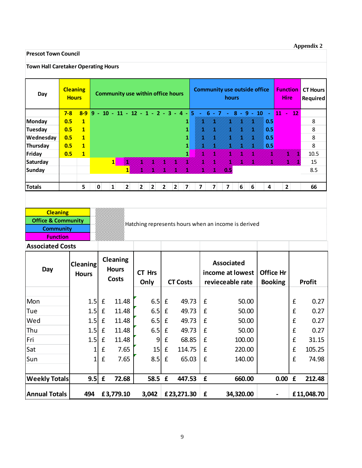#### **Appendix 2**

#### **Prescot Town Council**

| <b>Town Hall Caretaker Operating Hours</b> |         |                                 |                                          |                    |                                        |                |                |                    |                                                     |                         |             |                                  |           |              |                                |                  |                             |                    |               |
|--------------------------------------------|---------|---------------------------------|------------------------------------------|--------------------|----------------------------------------|----------------|----------------|--------------------|-----------------------------------------------------|-------------------------|-------------|----------------------------------|-----------|--------------|--------------------------------|------------------|-----------------------------|--------------------|---------------|
| Day                                        |         | <b>Cleaning</b><br><b>Hours</b> | <b>Community use within office hours</b> |                    |                                        |                |                |                    | <b>Community use outside office</b><br>hours        |                         |             |                                  |           |              | <b>Function</b><br><b>Hire</b> |                  | <b>CT Hours</b><br>Required |                    |               |
|                                            | $7 - 8$ | $8 - 9$                         |                                          |                    | $9 - 10 - 11 - 12 - 1 - 2 - 3 - 4 - 5$ |                |                |                    |                                                     | п.                      |             | $6 - 7$                          |           | $8 - 9 - 10$ | ÷,                             | 11               | $\blacksquare$              | 12                 |               |
| <b>Monday</b>                              | 0.5     | $\mathbf{1}$                    |                                          |                    |                                        |                |                |                    | 1                                                   |                         |             |                                  |           |              | 0.5                            |                  |                             |                    | 8             |
| <b>Tuesday</b>                             | 0.5     | $\mathbf{1}$                    |                                          |                    |                                        |                |                |                    |                                                     |                         |             |                                  |           |              | 0.5                            |                  |                             |                    | 8             |
| Wednesday                                  | 0.5     | $\mathbf{1}$                    |                                          |                    |                                        |                |                |                    |                                                     |                         |             |                                  |           |              | 0.5                            |                  |                             |                    | 8             |
| Thursday                                   | 0.5     | $\mathbf{1}$                    |                                          |                    |                                        |                |                |                    |                                                     |                         |             |                                  |           |              | 0.5                            |                  |                             |                    | 8             |
| Friday                                     | 0.5     | $\mathbf{1}$                    |                                          |                    |                                        |                |                |                    | 1                                                   |                         |             |                                  |           |              |                                |                  |                             |                    | 10.5          |
| <b>Saturday</b>                            |         |                                 |                                          |                    | $\mathbf{1}$                           |                |                |                    |                                                     |                         |             |                                  |           |              |                                |                  |                             |                    | 15            |
| <b>Sunday</b>                              |         |                                 |                                          |                    | 11                                     |                |                |                    |                                                     |                         |             |                                  |           |              |                                |                  |                             |                    | 8.5           |
|                                            |         |                                 |                                          | $\mathbf 0$        |                                        |                |                |                    |                                                     |                         |             |                                  |           |              |                                |                  |                             |                    |               |
| <b>Totals</b>                              |         | 5                               |                                          |                    | $\mathbf{1}$<br>$\overline{2}$         | $\overline{2}$ | $\overline{2}$ | $\overline{2}$     | 2<br>$\overline{7}$                                 | $\overline{\mathbf{z}}$ |             | $\overline{7}$<br>$\overline{7}$ | 6         | 6            | 4                              |                  | $\overline{2}$              |                    | 66            |
|                                            |         |                                 |                                          |                    |                                        |                |                |                    |                                                     |                         |             |                                  |           |              |                                |                  |                             |                    |               |
| <b>Cleaning</b>                            |         |                                 |                                          |                    |                                        |                |                |                    |                                                     |                         |             |                                  |           |              |                                |                  |                             |                    |               |
| <b>Office &amp; Community</b>              |         |                                 |                                          |                    |                                        |                |                |                    |                                                     |                         |             |                                  |           |              |                                |                  |                             |                    |               |
| <b>Community</b>                           |         |                                 |                                          |                    |                                        |                |                |                    | Hatching represents hours when an income is derived |                         |             |                                  |           |              |                                |                  |                             |                    |               |
| <b>Function</b>                            |         |                                 |                                          |                    |                                        |                |                |                    |                                                     |                         |             |                                  |           |              |                                |                  |                             |                    |               |
| <b>Associated Costs</b>                    |         |                                 |                                          |                    |                                        |                |                |                    |                                                     |                         |             |                                  |           |              |                                |                  |                             |                    |               |
|                                            |         |                                 |                                          |                    | <b>Cleaning</b>                        |                |                |                    |                                                     |                         |             |                                  |           |              |                                |                  |                             |                    |               |
|                                            |         | Cleaning                        |                                          |                    |                                        |                |                |                    |                                                     |                         |             | <b>Associated</b>                |           |              |                                |                  |                             |                    |               |
| Day                                        |         | <b>Hours</b>                    |                                          |                    | <b>Hours</b>                           |                | <b>CT Hrs</b>  |                    |                                                     |                         |             | income at lowest                 |           |              |                                | <b>Office Hr</b> |                             |                    |               |
|                                            |         |                                 |                                          |                    | <b>Costs</b>                           |                | Only           |                    | <b>CT Costs</b>                                     |                         |             | revieceable rate                 |           |              |                                | <b>Booking</b>   |                             |                    | <b>Profit</b> |
|                                            |         |                                 |                                          |                    |                                        |                |                |                    |                                                     |                         |             |                                  |           |              |                                |                  |                             |                    |               |
| Mon                                        |         |                                 | 1.5                                      | £                  | 11.48                                  |                | 6.5            | £                  | 49.73                                               |                         | f           |                                  |           | 50.00        |                                |                  |                             | £                  | 0.27          |
| Tue                                        |         |                                 | 1.5                                      | $\pmb{\mathsf{f}}$ | 11.48                                  |                | 6.5            | £                  | 49.73                                               |                         | £           |                                  |           | 50.00        |                                |                  |                             | £                  | 0.27          |
| Wed                                        |         |                                 | 1.5                                      | $\pmb{\mathsf{f}}$ | 11.48                                  |                | 6.5            | $\pmb{\mathsf{f}}$ | 49.73                                               |                         | £           |                                  |           | 50.00        |                                |                  |                             | $\pmb{\mathsf{f}}$ | 0.27          |
| Thu                                        |         |                                 |                                          | $1.5$ £            | 11.48                                  |                | $6.5$ £        |                    | 49.73                                               |                         | $\mathbf f$ |                                  |           | 50.00        |                                |                  |                             | £                  | 0.27          |
|                                            |         |                                 |                                          | $1.5$ £            | 11.48                                  |                | 9              | $\pmb{\mathsf{f}}$ | 68.85                                               |                         | $\mathbf f$ |                                  |           |              |                                |                  |                             | $\pmb{\mathsf{f}}$ |               |
| Fri                                        |         |                                 |                                          |                    |                                        |                |                |                    |                                                     |                         |             |                                  |           | 100.00       |                                |                  |                             |                    | 31.15         |
| Sat                                        |         |                                 | 1                                        | $\pmb{\mathsf{f}}$ | 7.65                                   |                | 15             | $\pmb{\mathsf{f}}$ | 114.75                                              |                         | $\mathbf f$ |                                  | 220.00    |              |                                |                  |                             | £                  | 105.25        |
| Sun                                        |         |                                 | $\mathbf{1}$                             | $\pmb{\mathsf{f}}$ | 7.65                                   |                | 8.5            | $\pmb{\mathsf{f}}$ | 65.03                                               |                         | $\mathbf f$ |                                  | 140.00    |              |                                |                  |                             | £                  | 74.98         |
|                                            |         |                                 |                                          |                    |                                        |                |                |                    |                                                     |                         |             |                                  |           |              |                                |                  |                             |                    |               |
| <b>Weekly Totals</b>                       |         |                                 | 9.5                                      | $\pmb{\epsilon}$   | 72.68                                  |                | 58.5 £         |                    | 447.53                                              |                         | £           |                                  | 660.00    |              |                                | $0.00$ £         |                             |                    | 212.48        |
| <b>Annual Totals</b>                       |         | 494                             |                                          |                    | £3,779.10                              |                | 3,042          |                    | £ 23,271.30 $\vert$ £                               |                         |             |                                  | 34,320.00 |              |                                |                  |                             |                    | £11,048.70    |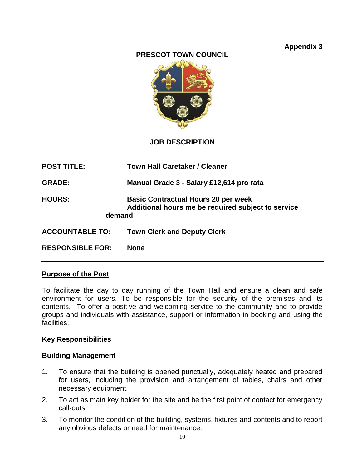### **Appendix 3**



#### **JOB DESCRIPTION**

| <b>POST TITLE:</b>      | <b>Town Hall Caretaker / Cleaner</b>                                                             |
|-------------------------|--------------------------------------------------------------------------------------------------|
| <b>GRADE:</b>           | Manual Grade 3 - Salary £12,614 pro rata                                                         |
| <b>HOURS:</b><br>demand | <b>Basic Contractual Hours 20 per week</b><br>Additional hours me be required subject to service |
| <b>ACCOUNTABLE TO:</b>  | <b>Town Clerk and Deputy Clerk</b>                                                               |
| <b>RESPONSIBLE FOR:</b> | <b>None</b>                                                                                      |

#### **Purpose of the Post**

To facilitate the day to day running of the Town Hall and ensure a clean and safe environment for users. To be responsible for the security of the premises and its contents. To offer a positive and welcoming service to the community and to provide groups and individuals with assistance, support or information in booking and using the facilities.

#### **Key Responsibilities**

#### **Building Management**

- 1. To ensure that the building is opened punctually, adequately heated and prepared for users, including the provision and arrangement of tables, chairs and other necessary equipment.
- 2. To act as main key holder for the site and be the first point of contact for emergency call-outs.
- 3. To monitor the condition of the building, systems, fixtures and contents and to report any obvious defects or need for maintenance.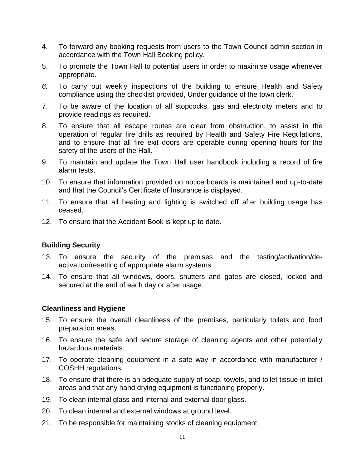- 4. To forward any booking requests from users to the Town Council admin section in accordance with the Town Hall Booking policy.
- 5. To promote the Town Hall to potential users in order to maximise usage whenever appropriate.
- *6.* To carry out weekly inspections of the building to ensure Health and Safety compliance using the checklist provided, Under guidance of the town clerk.
- 7. To be aware of the location of all stopcocks, gas and electricity meters and to provide readings as required.
- 8. To ensure that all escape routes are clear from obstruction, to assist in the operation of regular fire drills as required by Health and Safety Fire Regulations, and to ensure that all fire exit doors are operable during opening hours for the safety of the users of the Hall.
- 9. To maintain and update the Town Hall user handbook including a record of fire alarm tests.
- 10. To ensure that information provided on notice boards is maintained and up-to-date and that the Council's Certificate of Insurance is displayed.
- 11. To ensure that all heating and lighting is switched off after building usage has ceased.
- 12. To ensure that the Accident Book is kept up to date.

#### **Building Security**

- 13. To ensure the security of the premises and the testing/activation/deactivation/resetting of appropriate alarm systems.
- 14. To ensure that all windows, doors, shutters and gates are closed, locked and secured at the end of each day or after usage.

#### **Cleanliness and Hygiene**

- 15. To ensure the overall cleanliness of the premises, particularly toilets and food preparation areas.
- 16. To ensure the safe and secure storage of cleaning agents and other potentially hazardous materials.
- 17. To operate cleaning equipment in a safe way in accordance with manufacturer / COSHH regulations.
- 18. To ensure that there is an adequate supply of soap, towels, and toilet tissue in toilet areas and that any hand drying equipment is functioning properly.
- 19. To clean internal glass and internal and external door glass.
- 20. To clean internal and external windows at ground level.
- 21. To be responsible for maintaining stocks of cleaning equipment.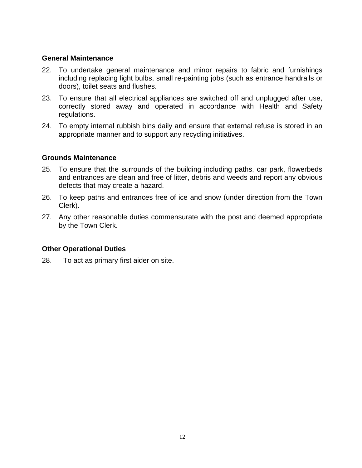#### **General Maintenance**

- 22. To undertake general maintenance and minor repairs to fabric and furnishings including replacing light bulbs, small re-painting jobs (such as entrance handrails or doors), toilet seats and flushes.
- 23. To ensure that all electrical appliances are switched off and unplugged after use, correctly stored away and operated in accordance with Health and Safety regulations.
- 24. To empty internal rubbish bins daily and ensure that external refuse is stored in an appropriate manner and to support any recycling initiatives.

#### **Grounds Maintenance**

- 25. To ensure that the surrounds of the building including paths, car park, flowerbeds and entrances are clean and free of litter, debris and weeds and report any obvious defects that may create a hazard.
- 26. To keep paths and entrances free of ice and snow (under direction from the Town Clerk).
- 27. Any other reasonable duties commensurate with the post and deemed appropriate by the Town Clerk.

#### **Other Operational Duties**

28. To act as primary first aider on site.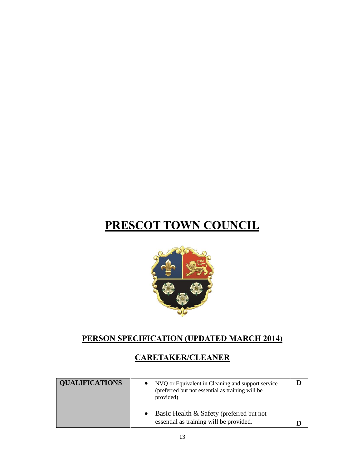

### **PERSON SPECIFICATION (UPDATED MARCH 2014)**

### **CARETAKER/CLEANER**

| <b>QUALIFICATIONS</b> | NVQ or Equivalent in Cleaning and support service<br>(preferred but not essential as training will be<br>provided) |  |
|-----------------------|--------------------------------------------------------------------------------------------------------------------|--|
|                       | Basic Health & Safety (preferred but not<br>essential as training will be provided.                                |  |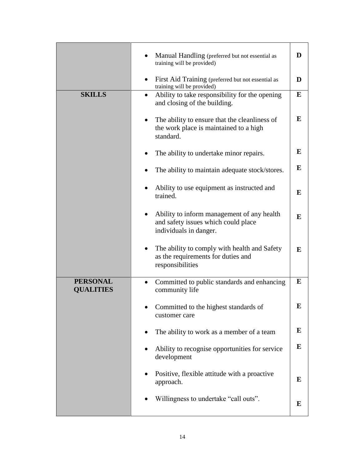|                                     | Manual Handling (preferred but not essential as                                                             | D |
|-------------------------------------|-------------------------------------------------------------------------------------------------------------|---|
|                                     | training will be provided)<br>First Aid Training (preferred but not essential as                            | D |
|                                     | training will be provided)                                                                                  |   |
| <b>SKILLS</b>                       | Ability to take responsibility for the opening<br>$\bullet$<br>and closing of the building.                 | E |
|                                     | The ability to ensure that the cleanliness of<br>٠<br>the work place is maintained to a high<br>standard.   | E |
|                                     | The ability to undertake minor repairs.                                                                     | E |
|                                     | The ability to maintain adequate stock/stores.                                                              | E |
|                                     | Ability to use equipment as instructed and<br>trained.                                                      | E |
|                                     | Ability to inform management of any health<br>and safety issues which could place<br>individuals in danger. | E |
|                                     | The ability to comply with health and Safety<br>as the requirements for duties and<br>responsibilities      | E |
| <b>PERSONAL</b><br><b>QUALITIES</b> | Committed to public standards and enhancing<br>community life                                               | E |
|                                     | Committed to the highest standards of<br>customer care                                                      | E |
|                                     | The ability to work as a member of a team                                                                   | E |
|                                     | Ability to recognise opportunities for service<br>development                                               | E |
|                                     | Positive, flexible attitude with a proactive<br>approach.                                                   | E |
|                                     | Willingness to undertake "call outs".                                                                       | E |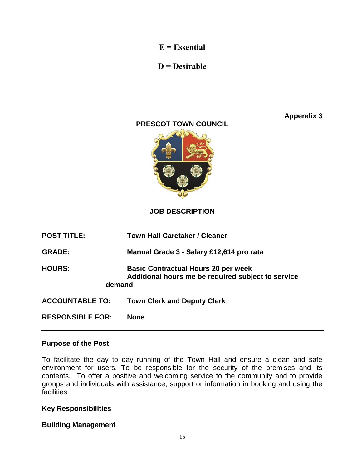**E = Essential**

### **D = Desirable**

**Appendix 3**

### **PRESCOT TOWN COUNCIL**



**JOB DESCRIPTION** 

| <b>POST TITLE:</b>      | <b>Town Hall Caretaker / Cleaner</b>                                                             |
|-------------------------|--------------------------------------------------------------------------------------------------|
| <b>GRADE:</b>           | Manual Grade 3 - Salary £12,614 pro rata                                                         |
| <b>HOURS:</b><br>demand | <b>Basic Contractual Hours 20 per week</b><br>Additional hours me be required subject to service |
| <b>ACCOUNTABLE TO:</b>  | <b>Town Clerk and Deputy Clerk</b>                                                               |
| <b>RESPONSIBLE FOR:</b> | <b>None</b>                                                                                      |

#### **Purpose of the Post**

To facilitate the day to day running of the Town Hall and ensure a clean and safe environment for users. To be responsible for the security of the premises and its contents. To offer a positive and welcoming service to the community and to provide groups and individuals with assistance, support or information in booking and using the facilities.

#### **Key Responsibilities**

#### **Building Management**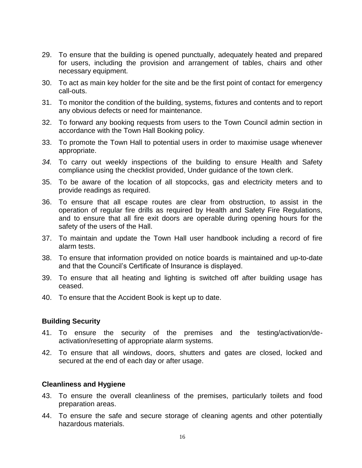- 29. To ensure that the building is opened punctually, adequately heated and prepared for users, including the provision and arrangement of tables, chairs and other necessary equipment.
- 30. To act as main key holder for the site and be the first point of contact for emergency call-outs.
- 31. To monitor the condition of the building, systems, fixtures and contents and to report any obvious defects or need for maintenance.
- 32. To forward any booking requests from users to the Town Council admin section in accordance with the Town Hall Booking policy.
- 33. To promote the Town Hall to potential users in order to maximise usage whenever appropriate.
- *34.* To carry out weekly inspections of the building to ensure Health and Safety compliance using the checklist provided, Under guidance of the town clerk.
- 35. To be aware of the location of all stopcocks, gas and electricity meters and to provide readings as required.
- 36. To ensure that all escape routes are clear from obstruction, to assist in the operation of regular fire drills as required by Health and Safety Fire Regulations, and to ensure that all fire exit doors are operable during opening hours for the safety of the users of the Hall.
- 37. To maintain and update the Town Hall user handbook including a record of fire alarm tests.
- 38. To ensure that information provided on notice boards is maintained and up-to-date and that the Council's Certificate of Insurance is displayed.
- 39. To ensure that all heating and lighting is switched off after building usage has ceased.
- 40. To ensure that the Accident Book is kept up to date.

#### **Building Security**

- 41. To ensure the security of the premises and the testing/activation/deactivation/resetting of appropriate alarm systems.
- 42. To ensure that all windows, doors, shutters and gates are closed, locked and secured at the end of each day or after usage.

#### **Cleanliness and Hygiene**

- 43. To ensure the overall cleanliness of the premises, particularly toilets and food preparation areas.
- 44. To ensure the safe and secure storage of cleaning agents and other potentially hazardous materials.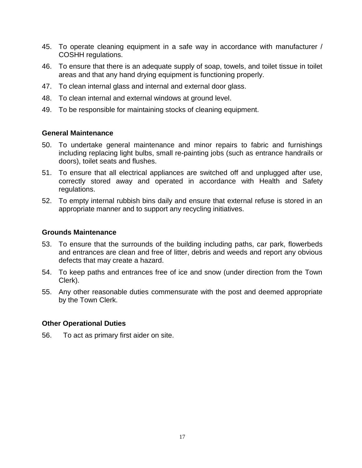- 45. To operate cleaning equipment in a safe way in accordance with manufacturer / COSHH regulations.
- 46. To ensure that there is an adequate supply of soap, towels, and toilet tissue in toilet areas and that any hand drying equipment is functioning properly.
- 47. To clean internal glass and internal and external door glass.
- 48. To clean internal and external windows at ground level.
- 49. To be responsible for maintaining stocks of cleaning equipment.

#### **General Maintenance**

- 50. To undertake general maintenance and minor repairs to fabric and furnishings including replacing light bulbs, small re-painting jobs (such as entrance handrails or doors), toilet seats and flushes.
- 51. To ensure that all electrical appliances are switched off and unplugged after use, correctly stored away and operated in accordance with Health and Safety regulations.
- 52. To empty internal rubbish bins daily and ensure that external refuse is stored in an appropriate manner and to support any recycling initiatives.

#### **Grounds Maintenance**

- 53. To ensure that the surrounds of the building including paths, car park, flowerbeds and entrances are clean and free of litter, debris and weeds and report any obvious defects that may create a hazard.
- 54. To keep paths and entrances free of ice and snow (under direction from the Town Clerk).
- 55. Any other reasonable duties commensurate with the post and deemed appropriate by the Town Clerk.

#### **Other Operational Duties**

56. To act as primary first aider on site.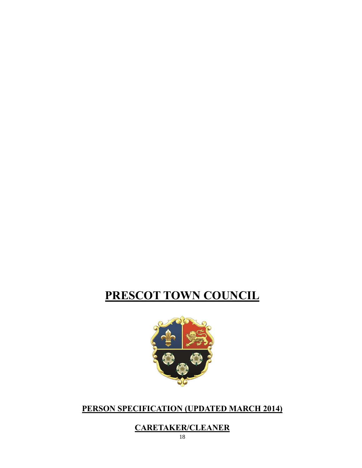### **CARETAKER/CLEANER**

#### 18

### **PERSON SPECIFICATION (UPDATED MARCH 2014)**



# **PRESCOT TOWN COUNCIL**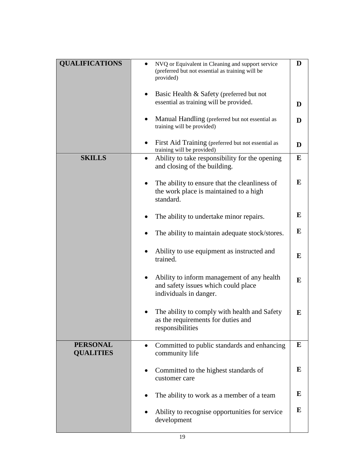| <b>QUALIFICATIONS</b>               | NVQ or Equivalent in Cleaning and support service<br>(preferred but not essential as training will be                    | D |
|-------------------------------------|--------------------------------------------------------------------------------------------------------------------------|---|
|                                     | provided)                                                                                                                |   |
|                                     | Basic Health & Safety (preferred but not                                                                                 |   |
|                                     | essential as training will be provided.                                                                                  | D |
|                                     | Manual Handling (preferred but not essential as<br>training will be provided)                                            | D |
|                                     | First Aid Training (preferred but not essential as<br>training will be provided)                                         | D |
| <b>SKILLS</b>                       | Ability to take responsibility for the opening<br>and closing of the building.                                           | E |
|                                     | The ability to ensure that the cleanliness of<br>the work place is maintained to a high<br>standard.                     | E |
|                                     | The ability to undertake minor repairs.                                                                                  | E |
|                                     | The ability to maintain adequate stock/stores.                                                                           | E |
|                                     | Ability to use equipment as instructed and<br>trained.                                                                   | E |
|                                     | Ability to inform management of any health<br>$\bullet$<br>and safety issues which could place<br>individuals in danger. | E |
|                                     | The ability to comply with health and Safety<br>as the requirements for duties and<br>responsibilities                   | E |
| <b>PERSONAL</b><br><b>QUALITIES</b> | Committed to public standards and enhancing<br>community life                                                            | E |
|                                     | Committed to the highest standards of<br>customer care                                                                   | E |
|                                     | The ability to work as a member of a team                                                                                | E |
|                                     | Ability to recognise opportunities for service<br>development                                                            | E |